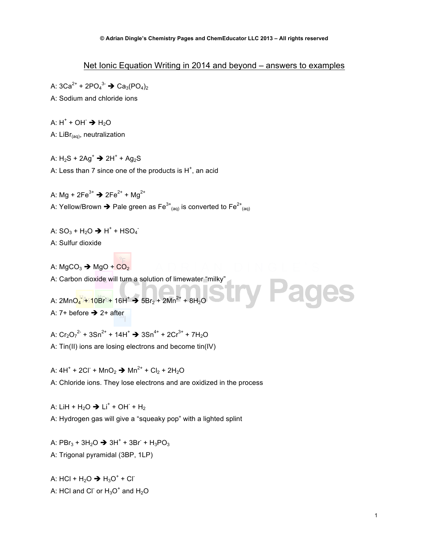## Net Ionic Equation Writing in 2014 and beyond – answers to examples

A: 3Ca<sup>2+</sup> + 2PO<sub>4</sub><sup>3-</sup>  $\rightarrow$  Ca<sub>3</sub>(PO<sub>4</sub>)<sub>2</sub> A: Sodium and chloride ions

A:  $H^+$  + OH $\rightarrow$  H<sub>2</sub>O

A:  $LiBr_{(aq)}$ , neutralization

A:  $H_2S$  + 2Ag<sup>+</sup>  $\rightarrow$  2H<sup>+</sup> + Ag<sub>2</sub>S A: Less than 7 since one of the products is  $H^+$ , an acid

A: Mg +  $2Fe^{3+}$   $\rightarrow$   $2Fe^{2+}$  + Mg<sup>2+</sup> A: Yellow/Brown  $\blacktriangleright$  Pale green as Fe $^{3+}$ <sub>(aq)</sub> is converted to Fe $^{2+}$ <sub>(aq)</sub>

A:  $SO_3 + H_2O \rightarrow H^+ + HSO_4$ 

A: Sulfur dioxide

A:  $MgCO<sub>3</sub>$   $\rightarrow$   $MgO$  +  $CO<sub>2</sub>$ 

A: Carbon dioxide will turn a solution of limewater "milky"

A: 2MnO4 + 10Br + 16H<sup>+</sup> → 5Br<sub>2</sub> + 2Mn<sup>2+</sup> + 8H<sub>2</sub>O A:  $7+$  before  $\rightarrow$  2+ after

A:  $Cr_2O_7^2$  + 3Sn<sup>2+</sup> + 14H<sup>+</sup>  $\rightarrow$  3Sn<sup>4+</sup> + 2Cr<sup>3+</sup> + 7H<sub>2</sub>O

A: Tin(II) ions are losing electrons and become tin(IV)

A: 4H<sup>+</sup> + 2Cl<sup>-</sup> + MnO<sub>2</sub>  $\rightarrow$  Mn<sup>2+</sup> + Cl<sub>2</sub> + 2H<sub>2</sub>O A: Chloride ions. They lose electrons and are oxidized in the process

A: LiH +  $H_2O \rightarrow$  Li<sup>+</sup> + OH +  $H_2$ A: Hydrogen gas will give a "squeaky pop" with a lighted splint

A:  $PBr_3 + 3H_2O \rightarrow 3H^+ + 3Br^- + H_3PO_3$ A: Trigonal pyramidal (3BP, 1LP)

A: HCl + H<sub>2</sub>O  $\rightarrow$  H<sub>3</sub>O<sup>+</sup> + Cl<sup>-</sup> A: HCl and Cl $\overline{\ }$  or  $\overline{\mathrm{H}}_{3}\mathrm{O}^{+}$  and  $\overline{\mathrm{H}}_{2}\mathrm{O}$